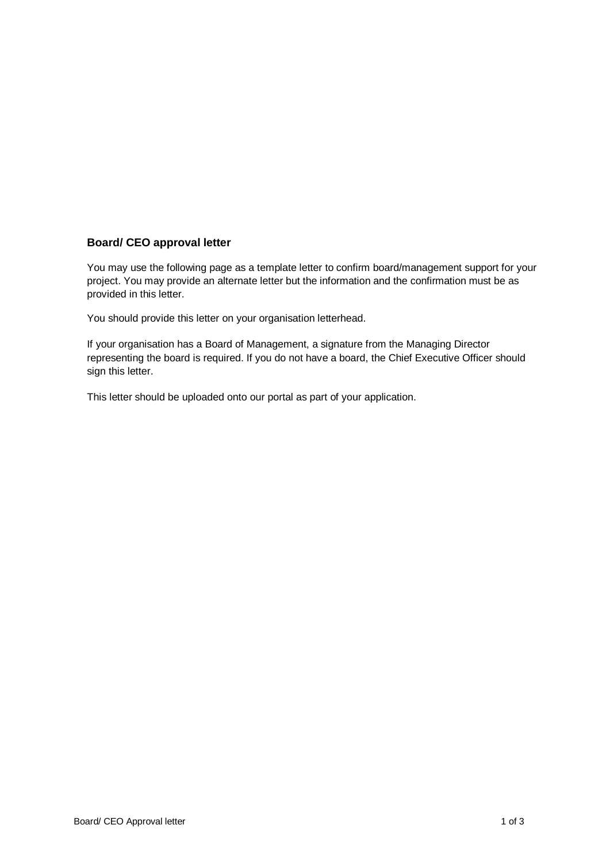## **Board/ CEO approval letter**

You may use the following page as a template letter to confirm board/management support for your project. You may provide an alternate letter but the information and the confirmation must be as provided in this letter.

You should provide this letter on your organisation letterhead.

If your organisation has a Board of Management, a signature from the Managing Director representing the board is required. If you do not have a board, the Chief Executive Officer should sign this letter.

This letter should be uploaded onto our portal as part of your application.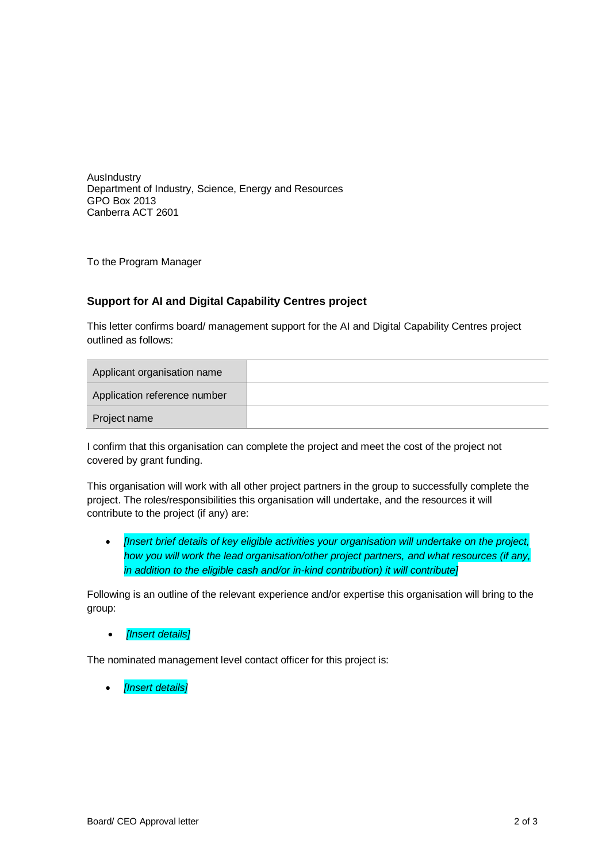AusIndustry Department of Industry, Science, Energy and Resources GPO Box 2013 Canberra ACT 2601

To the Program Manager

## **Support for AI and Digital Capability Centres project**

This letter confirms board/ management support for the AI and Digital Capability Centres project outlined as follows:

| Applicant organisation name  |  |
|------------------------------|--|
| Application reference number |  |
| Project name                 |  |

I confirm that this organisation can complete the project and meet the cost of the project not covered by grant funding.

This organisation will work with all other project partners in the group to successfully complete the project. The roles/responsibilities this organisation will undertake, and the resources it will contribute to the project (if any) are:

 *[Insert brief details of key eligible activities your organisation will undertake on the project, how you will work the lead organisation/other project partners, and what resources (if any, in addition to the eligible cash and/or in-kind contribution) it will contribute]*

Following is an outline of the relevant experience and/or expertise this organisation will bring to the group:

*[Insert details]*

The nominated management level contact officer for this project is:

*[Insert details]*